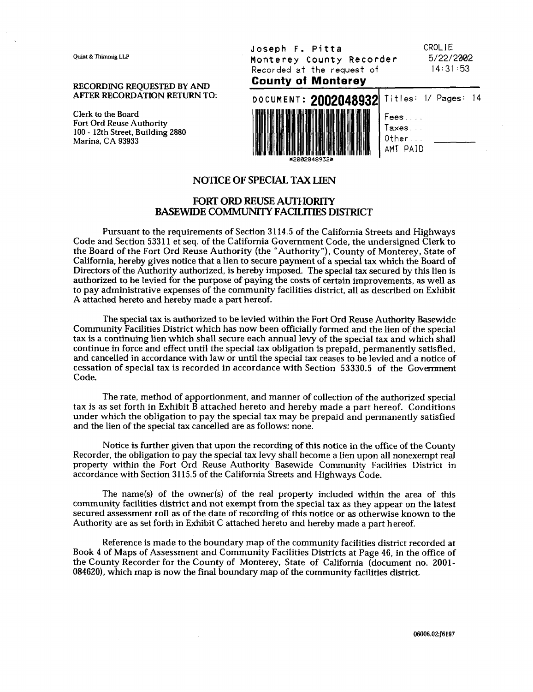Ouint & Thimmig LLP

**RECORDING REOUESTED BY AND** 

**Clerk to the Board Fort Ord Reuse Authority 100** - **12th Street, Building 2880**  Marina, **CA 93933** 

Joseph F. Pitta Monterey County Recorder Recorded at the request of **County of Monterev** 

CROLIE  $5/22/2002$  $14:31:53$ 



| Titles: 1/ Pages: 14 |  |
|----------------------|--|
| Fees                 |  |
| $T$ axes $\ldots$    |  |
| $0$ ther $\dots$     |  |
| AMT PAID             |  |

#### **NOTICE OF SPECIAL TAX LIEN**

#### **FORT ORD REUSE AUTHORITY BASEWIDE COMMUNITY FACILITIES DISTRICT**

Pursuant to the requirements of Section **3114.5** of the California Streets and Highways Code and Section **533 11** et seq. of the California Government Code, the undersigned Clerk to the Board of the Fort Ord Reuse Authority (the "Authority"), County of Monterey, State of California, hereby gives notice that a lien to secure payment of a special tax which the Board of Directors of the Authority authorized, is hereby imposed. The special tax secured by this lien is authorized to be levied for the purpose of paying the costs of certain improvements, as well as to pay administrative expenses of the community facilities district, all as described on Exhibit A attached hereto and hereby made a part hereof.

The special tax is authorized to be levied within the Fort Ord Reuse Authority Basewide Community Facilities District which has now been officially formed and the lien of the special tax is a continuing lien which shall secure each annual levy of the special tax and which shall continue in force and effect until the special tax obligation is prepaid, permanently satisfied, and cancelled in accordance with law or until the special tax ceases to be levied and a notice of cessation of special tax is recorded in accordance with Section **53330.5** of the Government Code.

The rate, method of apportionment, and manner of collection of the authorized special tax is as set forth in Exhibit B attached hereto and hereby made a part hereof. Conditions under which the obligation to pay the special tax may be prepaid and permanently satisfied and the lien of the special tax cancelled are as follows: none.

Notice is further given that upon the recording of this notice in the office of the County Recorder, the obligation to pay the special tax levy shall become a lien upon all nonexempt real property within the Fort Ord Reuse Authority Basewide Community Facilities District in accordance with Section 3115.5 of the California Streets and Highways Code.

The name(s) of the owner(s) of the real property included within the area of this community facilities district and not exempt from the special tax as they appear on the latest secured assessment roll as of the date of recording of this notice or as otherwise known to the Authority are as set forth in Exhibit C attached hereto and hereby made a part hereof.

Reference is made to the boundary map of the community facilities district recorded at Book **4** of Maps of Assessment and Community Facilities Districts at Page **46,** in the office of the County Recorder for the County of Monterey, State of California (document no. **2001- 084620),** which map is now the final boundary map of the community facilities district.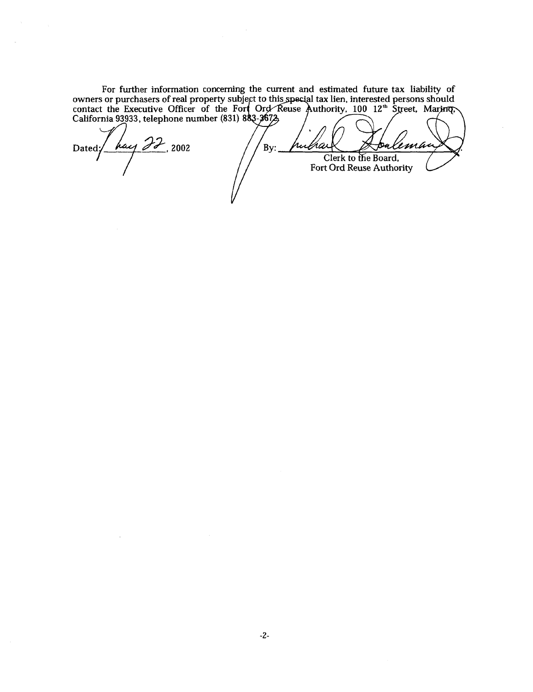**For further information concerning the current and estimated future tax liability of owners or purchasers of real property** *s*  **contact the Executive Officer of the California 93933, telephone number (83** 

By:

rulhai

hay 22, 2002 Dated;

 $\sim$ 

Clerk to the Board, **Fort Ord Reuse Authority** 

lema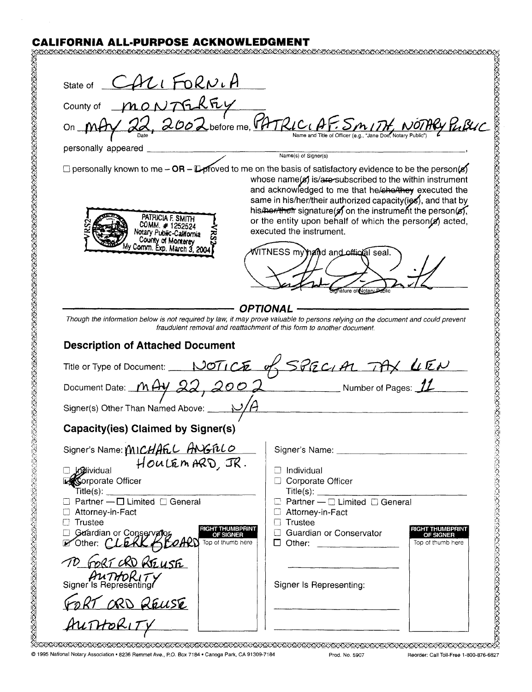# **CALIFORNIA ALL-PURPOSE ACKNOWLEDGMENT**

| State of CALIFORNIA                                                                                                                                                                                                                                                                                                                                                         |                                                                                                                                                                                                                                                                                                                                                                                                 |  |
|-----------------------------------------------------------------------------------------------------------------------------------------------------------------------------------------------------------------------------------------------------------------------------------------------------------------------------------------------------------------------------|-------------------------------------------------------------------------------------------------------------------------------------------------------------------------------------------------------------------------------------------------------------------------------------------------------------------------------------------------------------------------------------------------|--|
|                                                                                                                                                                                                                                                                                                                                                                             | County of MONTGREY<br>On MAY 22, 2002 before me, CATRICIAF: SMITH NOTHRY PLACE                                                                                                                                                                                                                                                                                                                  |  |
|                                                                                                                                                                                                                                                                                                                                                                             |                                                                                                                                                                                                                                                                                                                                                                                                 |  |
|                                                                                                                                                                                                                                                                                                                                                                             |                                                                                                                                                                                                                                                                                                                                                                                                 |  |
| personally appeared                                                                                                                                                                                                                                                                                                                                                         | Name(s) of Signer(s)                                                                                                                                                                                                                                                                                                                                                                            |  |
|                                                                                                                                                                                                                                                                                                                                                                             | $\Box$ personally known to me – OR – $\Box$ proved to me on the basis of satisfactory evidence to be the person(s)                                                                                                                                                                                                                                                                              |  |
| PATRICIA F. SMITH<br>COMM. #1252524<br>Notary Public-California<br>County of Monterey<br>ly Comm. Exp. March 3, 2004                                                                                                                                                                                                                                                        | whose name(x) is/are-subscribed to the within instrument<br>and acknowledged to me that he/cho/they executed the<br>same in his/her/their authorized capacity(ies), and that by<br>his/her/their signature(s) on the instrument the person(s),<br>or the entity upon behalf of which the person(s) acted,<br>executed the instrument.<br>NITNESS my hand and official seal.<br>hature of Notary |  |
| OPTIONAI<br>Though the information below is not required by law, it may prove valuable to persons relying on the document and could prevent<br>fraudulent removal and reattachment of this form to another document.<br><b>Description of Attached Document</b><br>Title or Type of Document: NOTICE of SPECIAL TAX LIEN<br>Document Date: MAY 22, 2002 Number of Pages: 11 |                                                                                                                                                                                                                                                                                                                                                                                                 |  |
|                                                                                                                                                                                                                                                                                                                                                                             |                                                                                                                                                                                                                                                                                                                                                                                                 |  |
| Signer(s) Other Than Named Above: _                                                                                                                                                                                                                                                                                                                                         |                                                                                                                                                                                                                                                                                                                                                                                                 |  |
| <b>Capacity(ies) Claimed by Signer(s)</b>                                                                                                                                                                                                                                                                                                                                   |                                                                                                                                                                                                                                                                                                                                                                                                 |  |
|                                                                                                                                                                                                                                                                                                                                                                             |                                                                                                                                                                                                                                                                                                                                                                                                 |  |
| Signer's Name: MICHAEL ANGELO<br>Jogividual<br>Corporate Officer<br>Title(s):<br>□ Partner – □ Limited □ General<br>□ Attorney-in-Fact<br>$\Box$ Trustee<br><b>RIGHT THUMBPRINT</b><br>Guardian or Conservator<br>LOther: CLERK CLOARD<br>OF SIGNER<br>Top of thumb here                                                                                                    | $\Box$ Individual<br>Corporate Officer<br>Title(s):<br>$\Box$ Partner — $\Box$ Limited $\Box$ General<br>Attorney-in-Fact<br>$\Box$ Trustee<br>RIGHT THUMBPRINT<br><b>C</b> Guardian or Conservator<br>OF SIGNER<br>Top of thumb here<br>$\Box$ Other:                                                                                                                                          |  |

*0* 1995 National Notary Association . 8236 Rernmet Ave., P.O. Box 7184 Canoga Park, CA 91309-7184 Prod. No. 5907 Reorder: Call Toll-Free 1-800-876-6827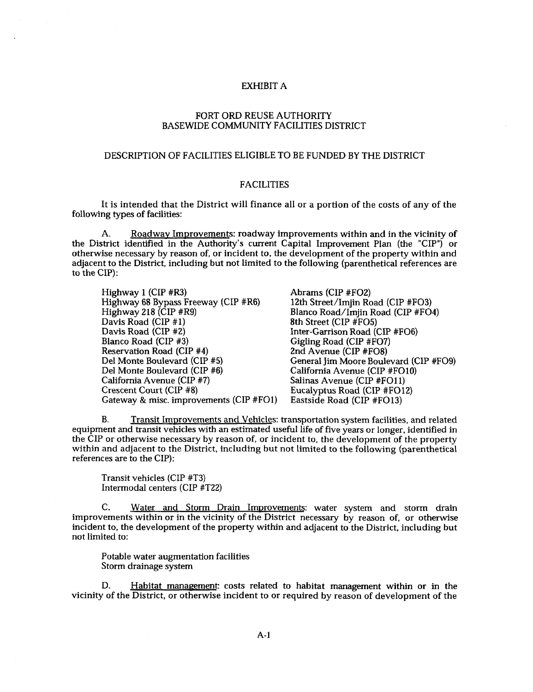#### EXHIBIT A

### FORT ORD REUSE AUTHORITY BASEWIDE COMMUNITY FACILITIES DISTRICT

#### DESCRIPTION OF FACILITIES ELIGIBLE TO BE FUNDED BY THE DISTRICT

#### FACILITIES

It is intended that the District will finance all or a portion of the costs of any of the following types of facilities:

A. Roadwav Improvements: roadway improvements within and in the vicinity of the District identified in the Authority's current Capital Improvement Plan (the "CIP") or otherwise necessary by reason of, or incident to, the development of the property within and adjacent to the District, including but not limited to the following (parenthetical references are to the CIP):

Highway 1 (CIP #R3) Highway 68 Bypass Freeway (CIP #R6) Highway 218 (CIP #R9) Davis Road (CIP **#1)**  Davis Road (CIP #2) Blanco Road (CIP #3) Reservation Road (CIP #4) Del Monte Boulevard (CIP #5) Del Monte Boulevard (CIP *#6)*  California Avenue (CIP #7) Crescent Court (CIP **#8)**  Gateway & misc. improvements (CIP #F01) Abrams (CIP #F02) 12th Street/Imjin Road (CIP #FO3) Blanco Road/Imiin Road (CIP #FO4) 8th Street (CIP #F05) Inter-Garrison Road (CIP #F06) Gigling Road (CIP #F07) 2nd Avenue (CIP #FO8) General Jim Moore Boulevard (CIP #FO9) California Avenue (CIP #FO10) Salinas Avenue (CIP #F011) Eucalyptus Road (CIP #F012) Eastside Road (CIP #FO13)

B. Transit Immovements and Vehicles: transportation system facilities, and related equipment and transit vehicles with an estimated useful life of five years or longer, identified in the CIP or otherwise necessary by reason of, or incident to, the development of the property within and adjacent to the District, including but not limited to the following (parenthetical references are to the CIP):

Transit vehicles (CIP #T3) Intermodal centers (CIP #T22)

C. Water and Storm Drain Improvements: water system and storm drain improvements within or in the vicinity of the District necessary by reason of, or otherwise incident to, the development of the property within and adjacent to the District, including but not limited to:

Potable water augmentation facilities Storm drainage system

D. Habitat management: costs related to habitat management within or in the vicinity of the District, or otherwise incident to or required by reason of development of the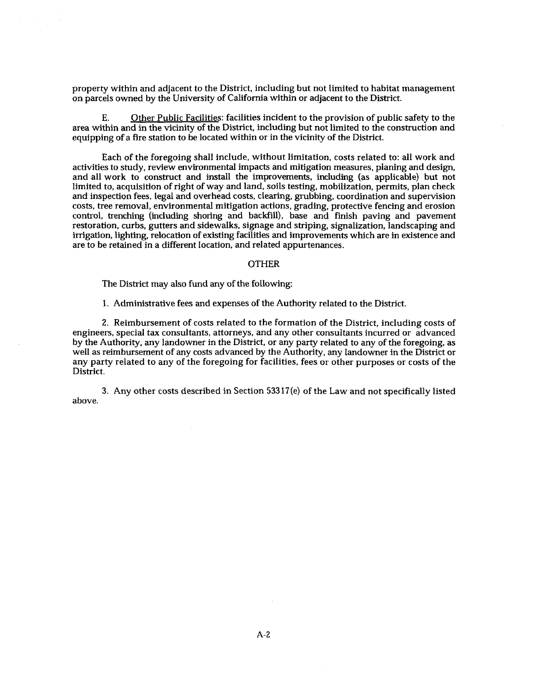property within and adjacent to the District, including but not limited to habitat management on parcels owned by the University of California within or adjacent to the District.

E. Other Public Facilities: facilities incident to the provision of public safety to the area within and in the vicinity of the District, including but not limited to the construction and equipping of a fire station to be located within or in the vicinity of the District.

Each of the foregoing shall include, without limitation, costs related to: all work and activities to study, review environmental impacts and mitigation measures, planing and design, and all work to construct and install the improvements, including **(as** applicable) but not limited to, acquisition of right of way and land, soils testing, mobilization, permits, plan check and inspection fees, legal and overhead costs, clearing, grubbing, coordination and supervision costs, tree removal, environmental mitigation actions, grading, protective fencing and erosion control, trenching (including shoring and backfill), base and finish paving and pavement restoration, curbs, gutters and sidewalks, signage and striping, signalization, landscaping and irrigation, lighting, relocation of existing facilities and improvements which are in existence and are to be retained in a different location, and related appurtenances.

#### OTHER

The District may also fund any of the following:

1. Administrative fees **and** expenses of the Authority related to the District.

2. Reimbursement of costs related to the formation of the District, including costs of engineers, special tax consultants, attorneys, and any other consultants incurred or advanced by the Authority, any landowner in the District, or any party related to any of the foregoing, as well as reimbursement of any costs advanced by the Authority, any landowner in the District or any party related to any of the foregoing for facilities, fees or other purposes or costs of the District.

3. Any other costs described in Section 533 17(e) of the Law and not specifically listed above.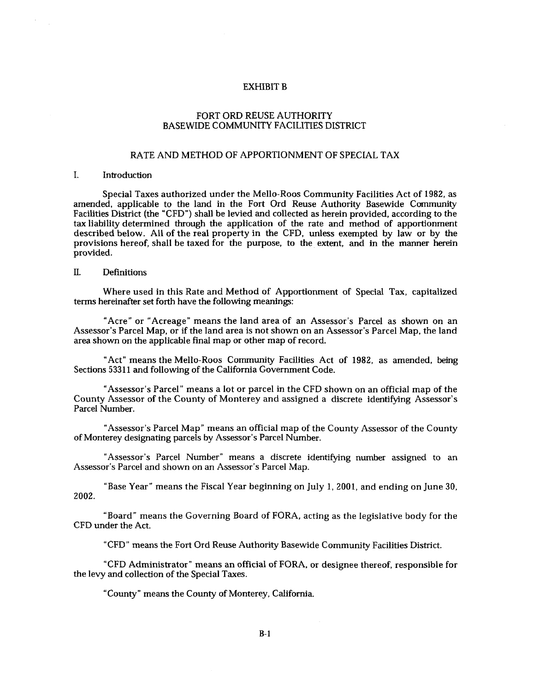#### EXHIBIT B

#### FORT ORD REUSE AUTHORITY BASEWIDE COMMUNITY FACILITIES DISTRICT

#### RATE AND METHOD OF APPORTIONMENT OF SPECIAL TAX

#### I. Introduction

Special Taxes authorized under the Mello-Roos Community Facilities Act of **1982,** as amended, applicable to the land in the Fort Ord Reuse Authority Basewide Community Facilities District (the "CFD") shall be levied and collected as herein provided, according to the tax liability determined through the application of the rate and method of apportionment described below. All of the real property in the CFD, unless exempted by law or by the provisions hereof, shall be taxed for the purpose, to the extent, and in the manner herein provided.

### II. Definitions

Where used in this Rate and Method of Apportionment of Special Tax, capitalized terms hereinafter set forth have the following meanings:

"Acre" or "Acreage" means the land area of an Assessor's Parcel as shown on an Assessor's Parcel Map, or if the land area is not shown on an Assessor's Parcel Map, the land area shown on the applicable final map or other map of record.

"Act" means the Mello-Roos Community Facilities Act of **1982,** as amended, being Sections 53311 and following of the California Government Code.

"Assessor's Parcel" means a lot or parcel in the CFD shown on an official map of the County Assessor of the County of Monterey and assigned a discrete identifying Assessor's Parcel Number.

"Assessor's Parcel Map" means an official map of the County Assessor of the County of Monterey designating parcels by Assessor's Parcel Number.

"Assessor's Parcel Number" means a discrete identifying number assigned to an Assessor's Parcel and shown on an Assessor's Parcel Map.

"Base Year" means the Fiscal Year beginning on July 1, **2001,** and ending on June 30, **2002.** 

"Board" means the Governing Board of FORA, acting as the legislative body for the CFD under the Act.

"CFD" means the Fort Ord Reuse Authority Basewide Community Facilities District.

"CFD Administrator" means an official of FORA, or designee thereof, responsible for the levy and collection of the Special Taxes.

"County" means the County of Monterey, California.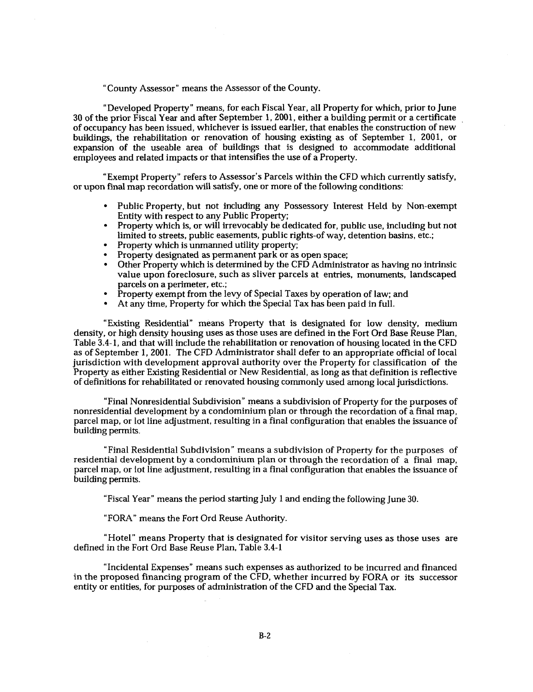"County Assessor" means the Assessor of the County.

"Developed Property" means, for each Fiscal Year, all Property for which, prior to June **30** of the prior Fiscal Year and after September **1,2001,** either a building permit or a certificate of occupancy has been issued, whichever is issued earlier, that enables the construction of new buildings, the rehabilitation or renovation of housing existing as of September **1, 2001,** or expansion of the useable area of buildings that is designed to accommodate additional employees and related impacts or that intensifies the use of a Property.

"Exempt Property" refers to Assessor's Parcels within the CFD which currently satisfy, or upon final map recordation will satisfy, one or more of the following conditions:

- Public Property, but not including any Possessory Interest Held by Non-exempt Entity with respect to any Public Property;
- Property which is, or will irrevocably be dedicated for, public use, including but not limited to streets, public easements, public rights-of way, detention basins, etc.;
- Property which is unmanned utility property;
- Property designated as permanent park or as open space;
- Other Property which is determined by the CFD Administrator **as** having no intrinsic value upon foreclosure, such as sliver parcels at entries, monuments, landscaped parcels on a perimeter, etc.;
- Property exempt from the levy of Special Taxes by operation of law; and
- At any time, Property for which the Special Tax has been paid in full.

"Existing Residential" means Property that is designated for low density, medium density, or high density housing uses as those uses are defined in the Fort Ord Base Reuse Plan, Table **3.4-** 1, and that will include the rehabilitation or renovation of housing located in the CFD as of September 1, 2001. The CFD Administrator shall defer to an appropriate official of local jurisdiction with development approval authority over the Property for classification of the Property **as** either Existing Residential or New Residential, **as** long as that definition is reflective of definitions for rehabilitated or renovated housing commonly used among local jurisdictions.

"Final Nonresidential Subdivision" means a subdivision of Property for the purposes of nonresidential development by a condominium plan or through the recordation of a final map, parcel map, or lot line adjustment, resulting in a final configuration that enables the issuance of building permits.

"Final Residential Subdivision" means a subdivision of Property for the purposes of residential development by a condominium plan or through the recordation *of* a final map, parcel map, or lot line adjustment, resulting in a final configuration that enables the issuance of building permits.

"Fiscal Year" means the period starting July 1 and ending the following June **30.** 

"FORA" means the Fort Ord Reuse Authority.

"Hotel" means Property that is designated for visitor serving uses as those uses are defined in the Fort Ord Base Reuse Plan, Table **3.4-1** 

"Incidental Expenses" means such expenses as authorized to be incurred and financed in the proposed financing program of the CFD, whether incurred by FORA or its successor entity or entities, for purposes of administration of the CFD and the Special Tax.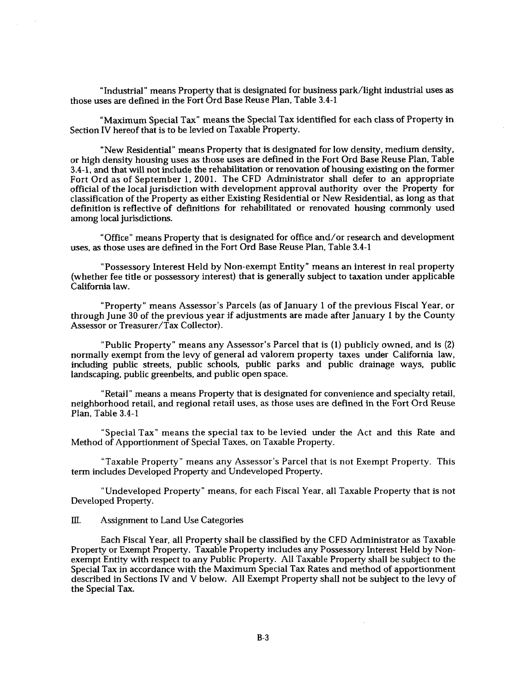"Industrial" means Property that is designated for business park/light industrial uses **as**  those uses are defined in the Fort Ord Base Reuse Plan, Table **3.4-1** 

"Maximum Special Tax" means the Special Tax identified for each class of Property in Section IV hereof that is to be levied on Taxable Property.

"New Residential" means Property that is designated for low density, medium density, or high density housing uses as those uses are defined in the Fort Ord Base Reuse Plan, Table **3.4-1,** and that will not include the rehabilitation or renovation of housing existing on the former Fort Ord as of September **1,** 2001. The CFD Administrator shall defer to an appropriate official of the local jurisdiction with development approval authority over the Property for classification of the Property as either Existing Residential or New Residential, as long as that definition is reflective of definitions for rehabilitated or renovated housing commonly used among local jurisdictions.

uses, **as** those uses are defined in the Fort Ord Base Reuse Plan, Table **3.4-1**  "Office" means Property that is designated for office and/or research and development

"Possessory Interest Held by Non-exempt Entity" means an interest in real property (whether fee title or possessory interest) that is generally subject to taxation under applicable California law.

"Property" means Assessor's Parcels (as of January 1 of the previous Fiscal Year, or through June **30** of the previous year if adjustments are made after January **1** by the County Assessor or Treasurer/Tax Collector).

"Public Property" means any Assessor's Parcel that is **(1)** publicly owned, and is **(2)**  normally exempt from the levy of general ad valorem property taxes under California law, including public streets, public schools, public parks and public drainage ways, public landscaping, public greenbelts, and public open space.

"Retail" means a means Property that is designated for convenience and specialty retail, neighborhood retail, and regional retail uses, as those uses are defined in the Fort Ord Reuse Plan, Table **3.4-1** 

"Special Tax" means the special tax to be levied under the Act and this Rate and Method of Apportionment of Special Taxes, on Taxable Property.

"Taxable Property" means any Assessor's Parcel that is not Exempt Property. This term includes Developed Property and Undeveloped Property.

"Undeveloped Property" means, for each Fiscal Year, all Taxable Property that is not Developed Property.

#### **III.** Assignment to Land Use Categories

Each Fiscal Year, all Property shall be classified by the CFD Administrator as Taxable Property or Exempt Property. Taxable Property includes any Possessory Interest Held by Nonexempt Entity with respect to any Public Property. All Taxable Property shall be subject to the Special Tax in accordance with the Maximum Special Tax Rates and method of apportionment described in Sections IV and V below. All Exempt Property shall not be subject to the levy of the Special Tax.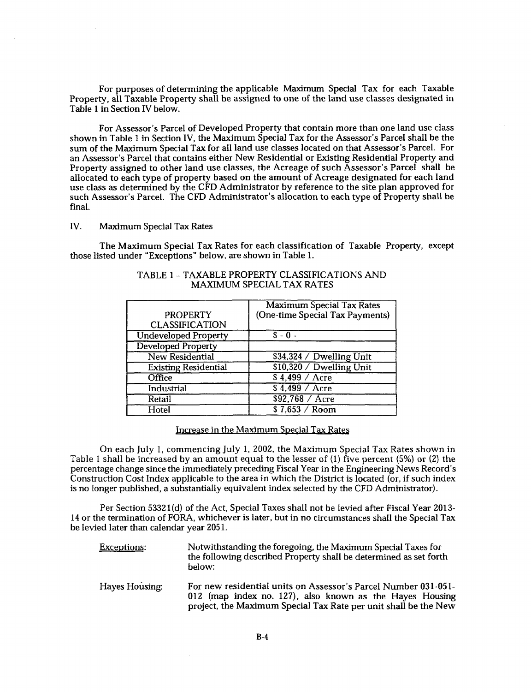For purposes of determining the applicable Maximum Special Tax for each Taxable Property, all Taxable Property shall be assigned to one of the land use classes designated in Table **1** in Section IV below.

For Assessor's Parcel of Developed Property that contain more than one land use class shown in Table **1** in Section IV, the Maximum Special Tax for the Assessor's Parcel shall be the sum of the Maximum Special Tax for all land use classes located on that Assessor's Parcel. For an Assessor's Parcel that contains either New Residential or Existing Residential Property and Property assigned to other land use classes, the Acreage of such Assessor's Parcel shall be allocated to each type of property based on the amount of Acreage designated for each land use class as determined by the CFD Administrator by reference to the site plan approved for such Assessor's Parcel. The CFD Administrator's allocation to each type of Property shall be final.

IV. Maximum Special Tax Rates

The Maximum Special Tax Rates for each classification of Taxable Property, except those listed under "Exceptions" below, are shown in Table **1.** 

|                             | <b>Maximum Special Tax Rates</b> |
|-----------------------------|----------------------------------|
| <b>PROPERTY</b>             | (One-time Special Tax Payments)  |
| <b>CLASSIFICATION</b>       |                                  |
| <b>Undeveloped Property</b> | $S - 0 -$                        |
| <b>Developed Property</b>   |                                  |
| <b>New Residential</b>      | \$34,324 / Dwelling Unit         |
| <b>Existing Residential</b> | \$10,320 / Dwelling Unit         |
| Office                      | $$4.499 /$ Acre                  |
| Industrial                  | $$4,499 /$ Acre                  |
| Retail                      | \$92,768 / Acre                  |
| Hotel                       | $$7,653$ / Room                  |

#### TABLE **1** - TAXABLE PROPERTY CLASSIFICATIONS AND MAXIMUM SPECIAL TAX RATES

#### Increase in the Maximum Special Tax Rates

On each July 1, commencing July **1, 2002,** the Maximum Special Tax Rates shown in Table 1 shall be increased by an amount equal to the lesser of (1) five percent **(5%)** or **(2)** the percentage change since the immediately preceding Fiscal Year in the Engineering News Record's Construction Cost Index applicable to the area in which the District is located (or, if such index is no longer published, a substantially equivalent index selected by the CFD Administrator).

Per Section **5332 1** (d) of the Act, Special Taxes shall not be levied after Fiscal Year **2013- 14** or the termination of FORA, whichever is later, but in no circumstances shall the Special Tax be levied later than calendar year **2051.** 

| <b>Exceptions:</b> | Notwithstanding the foregoing, the Maximum Special Taxes for<br>the following described Property shall be determined as set forth<br>helow:                                                   |
|--------------------|-----------------------------------------------------------------------------------------------------------------------------------------------------------------------------------------------|
| Hayes Housing:     | For new residential units on Assessor's Parcel Number 031-051-<br>012 (map index no. 127), also known as the Hayes Housing<br>project, the Maximum Special Tax Rate per unit shall be the New |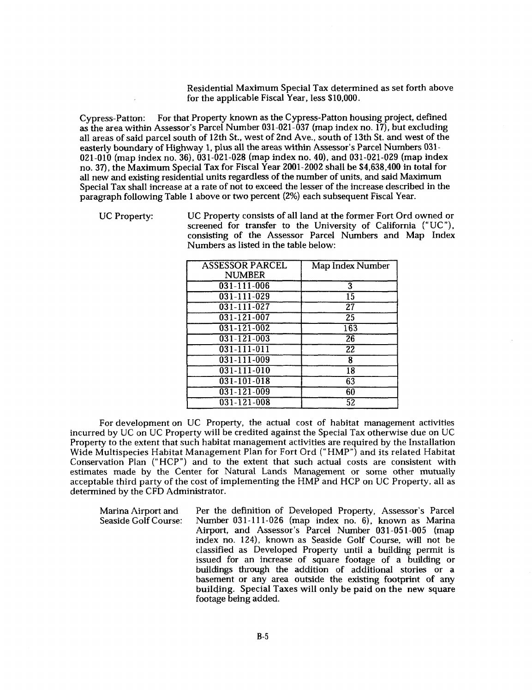Residential Maximum Special Tax determined as set forth above for the applicable Fiscal Year, less **\$10,000.** 

Cypress-Patton: For that Property known as the Cypress-Patton housing project, defined as the area within Assessor's Parcel Number **031-021-037** (map index no. **17),** but excluding all areas of said parcel south of 12th St., west of 2nd Ave., south of 13th St. and west of the easterly boundary of Highway **1,** plus all the areas within Assessor's Parcel Numbers **031- 021-010** (map index no. **36), 031-021-028** (map index no. **40),** and **031-021-029** (map index no. **37),** the Maximum Special Tax for Fiscal Year **2001-2002** shall be **\$4,638,400** in total for all new and existing residential units regardless of the number of units, and said Maximum Special Tax shall increase at a rate of not to exceed the lesser of the increase described in the paragraph following Table **1** above or two percent **(2%)** each subsequent Fiscal Year.

UC Property: UC Property consists of all land at the former Fort Ord owned or screened for transfer to the University of California ("UC"), consisting of the Assessor Parcel Numbers and Map Index Numbers as listed in the table below:

| <b>ASSESSOR PARCEL</b> | Map Index Number |
|------------------------|------------------|
| <b>NUMBER</b>          |                  |
| 031-111-006            | 3                |
| $031 - 111 - 029$      | 15               |
| $031 - 111 - 027$      | $\overline{27}$  |
| $031 - 121 - 007$      | $\overline{25}$  |
| $031 - 121 - 002$      | 163              |
| $031 - 121 - 003$      | $\overline{26}$  |
| $031 - 111 - 011$      | $\overline{22}$  |
| $031 - 111 - 009$      | 8                |
| $031 - 111 - 010$      | $\overline{18}$  |
| $031 - 101 - 018$      | 63               |
| $031 - 121 - 009$      | 60               |
| $031 - 121 - 008$      | 52               |

For development on UC Property, the actual cost of habitat management activities incurred by UC on UC Property will be credited against the Special Tax otherwise due on UC Property to the extent that such habitat management activities are required by the Installation Wide Multispecies Habitat Management Plan for Fort Ord ("HMP") and its related Habitat Conservation Plan ("HCP") and to the extent that such actual costs are consistent with estimates made by the Center for Natural Lands Management or some other mutually acceptable third party of the cost of implementing the HMP and HCP on UC Property, all as determined by the CFD Administrator.

Per the definition of Developed Property, Assessor's Parcel Marina Airport and Seaside Golf Course: Number 031-111-026 (map index no. 6), known as Marina Airport, and Assessor's Parcel Number 031-051-005 (map index no. 124), known as Seaside Golf Course, will not be classified as Developed Property until a building permit is issued for an increase of square footage of a building or buildings through the addition of additional stories or a basement or any area outside the existing footprint of any building. Special Taxes will only be paid on the new square footage being added.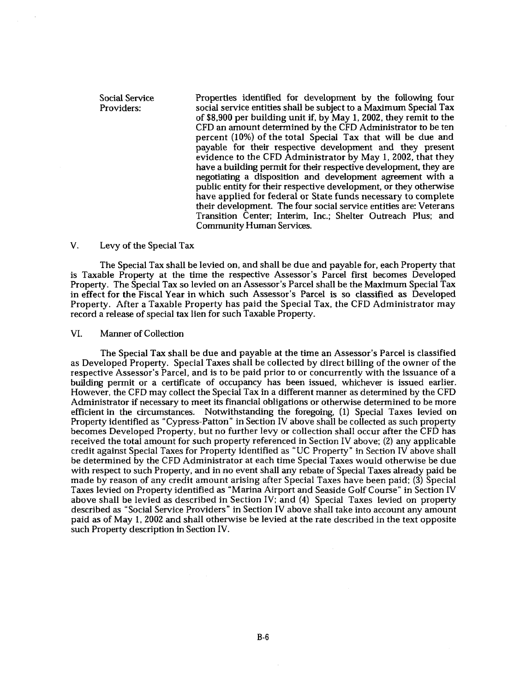Social Service Providers: Properties identified for development by the following four social service entities shall be subject to a Maximum Special Tax of \$8,900 per building unit if, by May 1,2002, they remit to the CFD an amount determined by the CFD Administrator to be ten percent (10%) of the total Special Tax that will be due and payable for their respective development and they present evidence to the CFD Administrator by May 1,2002, that they have a building permit for their respective development, they are negotiating a disposition and development agreement with a public entity for their respective development, or they otherwise have applied for federal or State funds necessary to complete their development. The four social service entities are: Veterans Transition Center; Interim, Inc.; Shelter Outreach Plus; and Community Human Services.

#### V. Levy of the Special Tax

The Special Tax shall be levied on, and shall be due and payable for, each Property that is Taxable Property at the time the respective Assessor's Parcel first becomes Developed Property. The Special Tax so levied on an Assessor's Parcel shall be the Maximum Special Tax in effect for the Fiscal Year in which such Assessor's Parcel is so classified as Developed Property. After a Taxable Property has paid the Special Tax, the CFD Administrator may record a release of special tax lien for such Taxable Property.

#### VI. Manner of Collection

The Special Tax shall be due and payable at the time an Assessor's Parcel is classified as Developed Property. Special Taxes shall be collected by direct billing of the owner of the respective Assessor's Parcel, and is to be paid prior to or concurrently with the issuance of a building permit or a certificate of occupancy has been issued, whichever is issued earlier. However, the CFD may collect the Special Tax in a different manner as determined by the CFD Administrator if necessary to meet its financial obligations or otherwise determined to be more efficient in the circumstances. Notwithstanding the foregoing, (1) Special Taxes levied on Property identified as "Cypress-Patton" in Section IV above shall be collected as such property becomes Developed Property, but no further levy or collection shall occur after the CFD has received the total amount for such property referenced in Section IV above; (2) any applicable credit against Special Taxes for Property identified as "UC Property" in Section IV above shall be determined by the CFD Administrator at each time Special Taxes would otherwise be due with respect to such Property, and in no event shall any rebate of Special Taxes already paid be made by reason of any credit amount arising after Special Taxes have been paid: (3) Special Taxes levied on Property identified as "Marina Airport and Seaside Golf Course" in Section IV above shall be levied as described in Section IV; and **(4)** Special Taxes levied on property described as "Social Service Providers" in Section IV above shall take into account any amount paid as of May 1, 2002 and shall otherwise be levied at the rate described in the text opposite such Property description in Section IV.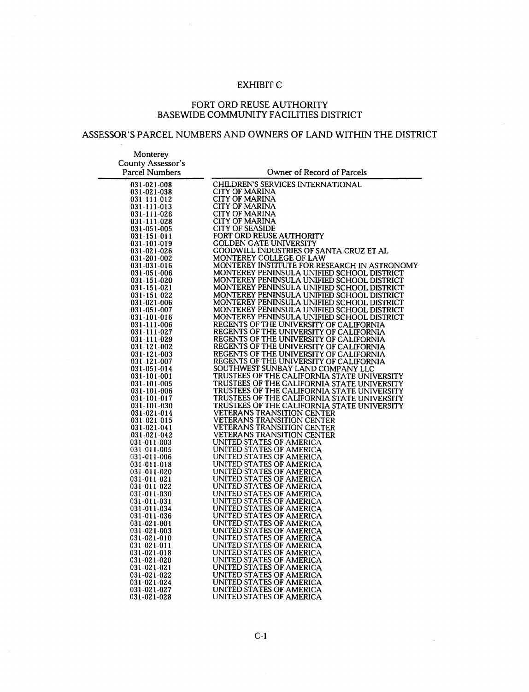# EXHIBIT C

 $\sim$ 

### FORT ORD REUSE AUTHORITY BASEWIDE COMMUNITY FACILITIES DISTRICT

# ASSESSOR'S PARCEL NUMBERS AND OWNERS OF LAND WITHIN THE DISTRICT

| Monterey                   |                                                                                            |
|----------------------------|--------------------------------------------------------------------------------------------|
| <b>County Assessor's</b>   |                                                                                            |
| <b>Parcel Numbers</b>      | Owner of Record of Parcels                                                                 |
|                            |                                                                                            |
| 031-021-008                | CHILDREN'S SERVICES INTERNATIONAL                                                          |
| 031-021-038                | <b>CITY OF MARINA</b>                                                                      |
| 031-111-012                | <b>CITY OF MARINA</b>                                                                      |
| 031-111-013                | CITY OF MARINA                                                                             |
| 031-111-026                | CITY OF MARINA                                                                             |
| 031-111-028                | CITY OF MARINA                                                                             |
| 031-051-005                | <b>CITY OF SEASIDE</b>                                                                     |
| 031-151-011                | FORT ORD REUSE AUTHORITY                                                                   |
| 031-101-019                | GOLDEN GATE UNIVERSITY                                                                     |
| 031-021-026                | GOODWILL INDUSTRIES OF SANTA CRUZ ET AL                                                    |
| 031-201-002                | MONTEREY COLLEGE OF LAW                                                                    |
| 031-031-016                | MONTEREY INSTITUTE FOR RESEARCH IN ASTRONOMY                                               |
| 031-051-006                | MONTEREY PENINSULA UNIFIED SCHOOL DISTRICT                                                 |
| 031-151-020                | MONTEREY PENINSULA UNIFIED SCHOOL DISTRICT                                                 |
| 031-151-021                | MONTEREY PENINSULA UNIFIED SCHOOL DISTRICT                                                 |
| 031-151-022                | MONTEREY PENINSULA UNIFIED SCHOOL DISTRICT                                                 |
| 031-021-006                | MONTEREY PENINSULA UNIFIED SCHOOL DISTRICT                                                 |
| 031-051-007                | MONTEREY PENINSULA UNIFIED SCHOOL DISTRICT                                                 |
| 031-101-016                | MONTEREY PENINSULA UNIFIED SCHOOL DISTRICT                                                 |
| 031-111-006                | REGENTS OF THE UNIVERSITY OF CALIFORNIA                                                    |
| 031-111-027                | REGENTS OF THE UNIVERSITY OF CALIFORNIA                                                    |
| 031-111-029                | REGENTS OF THE UNIVERSITY OF CALIFORNIA                                                    |
| 031-121-002                | REGENTS OF THE UNIVERSITY OF CALIFORNIA                                                    |
| 031-121-003                | REGENTS OF THE UNIVERSITY OF CALIFORNIA                                                    |
| 031-121-007                | REGENTS OF THE UNIVERSITY OF CALIFORNIA                                                    |
| 031-051-014                | SOUTHWEST SUNBAY LAND COMPANY LLC                                                          |
| 031-101-001<br>031-101-005 | TRUSTEES OF THE CALIFORNIA STATE UNIVERSITY<br>TRUSTEES OF THE CALIFORNIA STATE UNIVERSITY |
| 031-101-006                | TRUSTEES OF THE CALIFORNIA STATE UNIVERSITY                                                |
| 031-101-017                | TRUSTEES OF THE CALIFORNIA STATE UNIVERSITY                                                |
| 031-101-030                | TRUSTEES OF THE CALIFORNIA STATE UNIVERSITY                                                |
| 031-021-014                | <b>VETERANS TRANSITION CENTER</b>                                                          |
| 031-021-015                | <b>VETERANS TRANSITION CENTER</b>                                                          |
| 031-021-041                | VETERANS TRANSITION CENTER                                                                 |
| 031-021-042                | VETERANS TRANSITION CENTER                                                                 |
| 031-011-003                | UNITED STATES OF AMERICA                                                                   |
| 031-011-005                | UNITED STATES OF AMERICA                                                                   |
| 031-011-006                | UNITED STATES OF AMERICA                                                                   |
| 031-011-018                | UNITED STATES OF AMERICA                                                                   |
| 031-011-020                | UNITED STATES OF AMERICA                                                                   |
| 031-011-021                | UNITED STATES OF AMERICA                                                                   |
| 031-011-022                | UNITED STATES OF AMERICA                                                                   |
| 031-011-030                | UNITED STATES OF AMERICA                                                                   |
| 031-011-031                | UNITED STATES OF AMERICA                                                                   |
| 031-011-034                | UNITED STATES OF AMERICA                                                                   |
| 031-011-036                | UNITED STATES OF AMERICA                                                                   |
| 031-021-001                | UNITED STATES OF AMERICA                                                                   |
| 031-021-003                | UNITED STATES OF AMERICA                                                                   |
| 031-021-010                | UNITED STATES OF AMERICA                                                                   |
| 031-021-011                | UNITED STATES OF AMERICA                                                                   |
| 031-021-018                | UNITED STATES OF AMERICA                                                                   |
| 031-021-020<br>031-021-021 | UNITED STATES OF AMERICA<br>UNITED STATES OF AMERICA                                       |
|                            | UNITED STATES OF AMERICA                                                                   |
| 031-021-022<br>031-021-024 | UNITED STATES OF AMERICA                                                                   |
| 031-021-027                | UNITED STATES OF AMERICA                                                                   |
| 031-021-028                | UNITED STATES OF AMERICA                                                                   |
|                            |                                                                                            |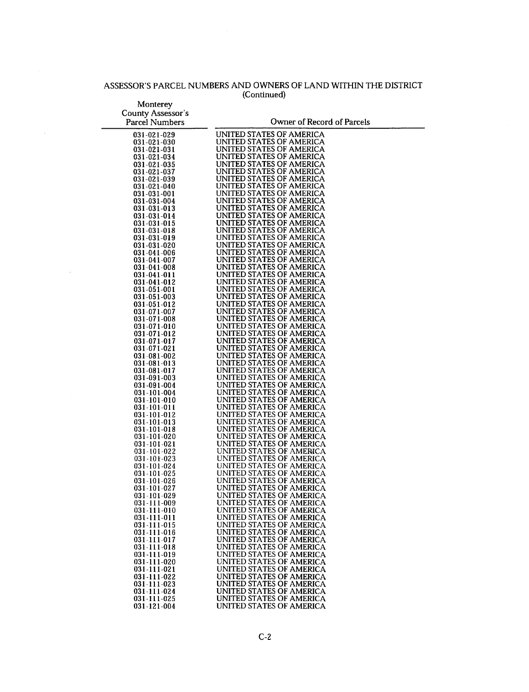## ASSESSOR'S PARCEL NUMBERS AND OWNERS OF LAND WITHIN THE DISTRICT (Continued)

 $\bar{\mathcal{A}}$ 

 $\mathcal{A}^{\mathcal{A}}$ 

| Monterey                         |                                                      |
|----------------------------------|------------------------------------------------------|
| <b>County Assessor's</b>         |                                                      |
| <b>Parcel Numbers</b>            | Owner of Record of Parcels                           |
|                                  |                                                      |
| 031-021-029                      | UNITED STATES OF AMERICA<br>UNITED STATES OF AMERICA |
| 031-021-030<br>031-021-031       | UNITED STATES OF AMERICA                             |
| 031-021-034                      | UNITED STATES OF AMERICA                             |
| 031-021-035                      | UNITED STATES OF AMERICA                             |
| 031-021-037                      | UNITED STATES OF AMERICA                             |
| 031-021-039                      | UNITED STATES OF AMERICA                             |
| 031-021-040                      | UNITED STATES OF AMERICA<br>UNITED STATES OF AMERICA |
| 031-031-001<br>031-031-004       | UNITED STATES OF AMERICA                             |
| 031-031-013                      | UNITED STATES OF AMERICA                             |
| 031-031-014                      | UNITED STATES OF AMERICA                             |
| 031-031-015                      | UNITED STATES OF AMERICA                             |
| 031-031-018                      | UNITED STATES OF AMERICA<br>UNITED STATES OF AMERICA |
| 031-031-019<br>031-031-020       | UNITED STATES OF AMERICA                             |
| 031-041-006                      | UNITED STATES OF AMERICA                             |
| 031-041-007                      | UNITED STATES OF AMERICA                             |
| 031-041-008                      | UNITED STATES OF AMERICA                             |
| 031-041-011                      | UNITED STATES OF AMERICA<br>UNITED STATES OF AMERICA |
| 031-041-012<br>031-051-001       | UNITED STATES OF AMERICA                             |
| 031-051-003                      | UNITED STATES OF AMERICA                             |
| 031-051-012                      | UNITED STATES OF AMERICA                             |
| 031-071-007                      | UNITED STATES OF AMERICA                             |
| 031-071-008                      | UNITED STATES OF AMERICA                             |
| 031-071-010<br>031-071-012       | UNITED STATES OF AMERICA<br>UNITED STATES OF AMERICA |
| 031-071-017                      | UNITED STATES OF AMERICA                             |
| 031-071-021                      | UNITED STATES OF AMERICA                             |
| 031-081-002                      | UNITED STATES OF AMERICA                             |
| 031-081-013                      | UNITED STATES OF AMERICA                             |
| 031-081-017<br>031-091-003       | UNITED STATES OF AMERICA<br>UNITED STATES OF AMERICA |
| 031-091-004                      | UNITED STATES OF AMERICA                             |
| 031-101-004                      | UNITED STATES OF AMERICA                             |
| 031-101-010                      | UNITED STATES OF AMERICA                             |
| 031-101-011                      | UNITED STATES OF AMERICA                             |
| 031-101-012                      | UNITED STATES OF AMERICA<br>UNITED STATES OF AMERICA |
| 031-101-013<br>031-101-018       | UNITED STATES OF AMERICA                             |
| 031-101-020                      | UNITED STATES OF AMERICA                             |
| 031-101-021                      | UNITED STATES OF AMERICA                             |
| 031-101-022                      | UNITED STATES OF AMERICA                             |
| $031 - 101 - 023$<br>031-101-024 | UNITED STATES OF AMERICA<br>UNITED STATES OF AMERICA |
| 031-101-025                      | UNITED STATES OF AMERICA                             |
| 031-101-026                      | UNITED STATES OF AMERICA                             |
| 031-101-027                      | UNITED STATES OF AMERICA                             |
| 031-101-029                      | UNITED STATES OF AMERICA                             |
| 031-111-009<br>031-111-010       | UNITED STATES OF AMERICA<br>UNITED STATES OF AMERICA |
| 031-111-011                      | UNITED STATES OF AMERICA                             |
| 031-111-015                      | UNITED STATES OF AMERICA                             |
| 031-111-016                      | UNITED STATES OF AMERICA                             |
| 031-111-017                      | UNITED STATES OF AMERICA                             |
| 031-111-018<br>031-111-019       | UNITED STATES OF AMERICA<br>UNITED STATES OF AMERICA |
| 031-111-020                      | UNITED STATES OF AMERICA                             |
| 031-111-021                      | UNITED STATES OF AMERICA                             |
| 031-111-022                      | UNITED STATES OF AMERICA                             |
| 031-111-023                      | UNITED STATES OF AMERICA                             |
| 031-111-024<br>031-111-025       | UNITED STATES OF AMERICA<br>UNITED STATES OF AMERICA |
| 031-121-004                      | UNITED STATES OF AMERICA                             |
|                                  |                                                      |